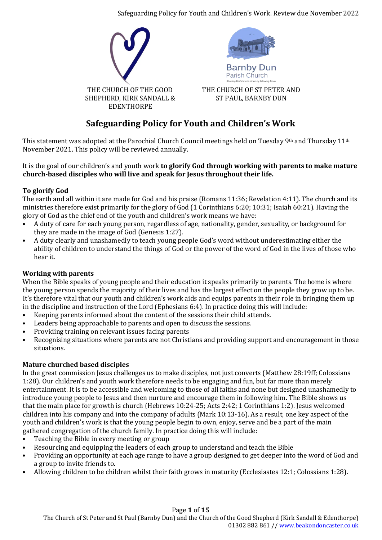Safeguarding Policy for Youth and Children's Work. Review due November 2022



# **Safeguarding Policy for Youth and Children's Work**

This statement was adopted at the Parochial Church Council meetings held on Tuesday 9th and Thursday 11th November 2021. This policy will be reviewed annually.

### It is the goal of our children's and youth work **to glorify God through working with parents to make mature church-based disciples who will live and speak for Jesus throughout their life.**

# **To glorify God**

The earth and all within it are made for God and his praise (Romans 11:36; Revelation 4:11). The church and its ministries therefore exist primarily for the glory of God (1 Corinthians 6:20; 10:31; Isaiah 60:21). Having the glory of God as the chief end of the youth and children's work means we have:

- A duty of care for each young person, regardless of age, nationality, gender, sexuality, or background for they are made in the image of God (Genesis 1:27).
- A duty clearly and unashamedly to teach young people God's word without underestimating either the ability of children to understand the things of God or the power of the word of God in the lives of those who hear it.

# **Working with parents**

When the Bible speaks of young people and their education it speaks primarily to parents. The home is where the young person spends the majority of their lives and has the largest effect on the people they grow up to be. It's therefore vital that our youth and children's work aids and equips parents in their role in bringing them up in the discipline and instruction of the Lord (Ephesians 6:4). In practice doing this will include:

- Keeping parents informed about the content of the sessions their child attends.
- Leaders being approachable to parents and open to discuss the sessions.
- Providing training on relevant issues facing parents
- Recognising situations where parents are not Christians and providing support and encouragement in those situations.

# **Mature churched based disciples**

In the great commission Jesus challenges us to make disciples, not just converts (Matthew 28:19ff; Colossians 1:28). Our children's and youth work therefore needs to be engaging and fun, but far more than merely entertainment. It is to be accessible and welcoming to those of all faiths and none but designed unashamedly to introduce young people to Jesus and then nurture and encourage them in following him. The Bible shows us that the main place for growth is church (Hebrews 10:24-25; Acts 2:42; 1 Corinthians 1:2). Jesus welcomed children into his company and into the company of adults (Mark 10:13-16). As a result, one key aspect of the youth and children's work is that the young people begin to own, enjoy, serve and be a part of the main gathered congregation of the church family. In practice doing this will include:

- Teaching the Bible in every meeting or group
- Resourcing and equipping the leaders of each group to understand and teach the Bible
- Providing an opportunity at each age range to have a group designed to get deeper into the word of God and a group to invite friends to.
- Allowing children to be children whilst their faith grows in maturity (Ecclesiastes 12:1; Colossians 1:28).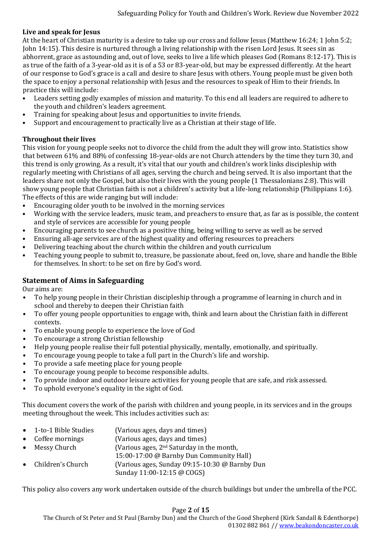### **Live and speak for Jesus**

At the heart of Christian maturity is a desire to take up our cross and follow Jesus (Matthew 16:24; 1 John 5:2; John 14:15). This desire is nurtured through a living relationship with the risen Lord Jesus. It sees sin as abhorrent, grace as astounding and, out of love, seeks to live a life which pleases God (Romans 8:12-17). This is as true of the faith of a 3-year-old as it is of a 53 or 83-year-old, but may be expressed differently. At the heart of our response to God's grace is a call and desire to share Jesus with others. Young people must be given both the space to enjoy a personal relationship with Jesus and the resources to speak of Him to their friends. In practice this will include:

- Leaders setting godly examples of mission and maturity. To this end all leaders are required to adhere to the youth and children's leaders agreement.
- Training for speaking about Jesus and opportunities to invite friends.
- Support and encouragement to practically live as a Christian at their stage of life.

# **Throughout their lives**

This vision for young people seeks not to divorce the child from the adult they will grow into. Statistics show that between 61% and 88% of confessing 18-year-olds are not Church attenders by the time they turn 30, and this trend is only growing. As a result, it's vital that our youth and children's work links discipleship with regularly meeting with Christians of all ages, serving the church and being served. It is also important that the leaders share not only the Gospel, but also their lives with the young people (1 Thessalonians 2:8). This will show young people that Christian faith is not a children's activity but a life-long relationship (Philippians 1:6). The effects of this are wide ranging but will include:

- Encouraging older youth to be involved in the morning services
- Working with the service leaders, music team, and preachers to ensure that, as far as is possible, the content and style of services are accessible for young people
- Encouraging parents to see church as a positive thing, being willing to serve as well as be served
- Ensuring all-age services are of the highest quality and offering resources to preachers
- Delivering teaching about the church within the children and youth curriculum
- Teaching young people to submit to, treasure, be passionate about, feed on, love, share and handle the Bible for themselves. In short: to be set on fire by God's word.

# **Statement of Aims in Safeguarding**

Our aims are:

- To help young people in their Christian discipleship through a programme of learning in church and in school and thereby to deepen their Christian faith
- To offer young people opportunities to engage with, think and learn about the Christian faith in different contexts.
- To enable young people to experience the love of God
- To encourage a strong Christian fellowship
- Help young people realise their full potential physically, mentally, emotionally, and spiritually.
- To encourage young people to take a full part in the Church's life and worship.
- To provide a safe meeting place for young people
- To encourage young people to become responsible adults.
- To provide indoor and outdoor leisure activities for young people that are safe, and risk assessed.
- To uphold everyone's equality in the sight of God.

This document covers the work of the parish with children and young people, in its services and in the groups meeting throughout the week. This includes activities such as:

- 1-to-1 Bible Studies (Various ages, days and times)
- Coffee mornings (Various ages, days and times)
- Messy Church (Various ages, 2<sup>nd</sup> Saturday in the month,
	- 15:00-17:00 @ Barnby Dun Community Hall)
- Children's Church (Various ages, Sunday 09:15-10:30 @ Barnby Dun
	- Sunday 11:00-12:15 @ COGS)

This policy also covers any work undertaken outside of the church buildings but under the umbrella of the PCC.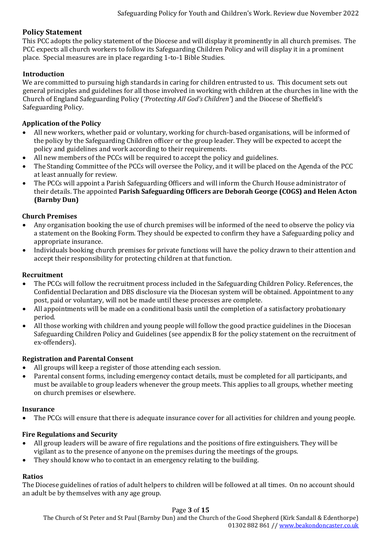# **Policy Statement**

This PCC adopts the policy statement of the Diocese and will display it prominently in all church premises. The PCC expects all church workers to follow its Safeguarding Children Policy and will display it in a prominent place. Special measures are in place regarding 1-to-1 Bible Studies.

# **Introduction**

We are committed to pursuing high standards in caring for children entrusted to us. This document sets out general principles and guidelines for all those involved in working with children at the churches in line with the Church of England Safeguarding Policy (*'Protecting All God's Children'*) and the Diocese of Sheffield's Safeguarding Policy.

# **Application of the Policy**

- All new workers, whether paid or voluntary, working for church-based organisations, will be informed of the policy by the Safeguarding Children officer or the group leader. They will be expected to accept the policy and guidelines and work according to their requirements.
- All new members of the PCCs will be required to accept the policy and guidelines.
- The Standing Committee of the PCCs will oversee the Policy, and it will be placed on the Agenda of the PCC at least annually for review.
- The PCCs will appoint a Parish Safeguarding Officers and will inform the Church House administrator of their details. The appointed **Parish Safeguarding Officers are Deborah George (COGS) and Helen Acton (Barnby Dun)**

# **Church Premises**

- Any organisation booking the use of church premises will be informed of the need to observe the policy via a statement on the Booking Form. They should be expected to confirm they have a Safeguarding policy and appropriate insurance.
- Individuals booking church premises for private functions will have the policy drawn to their attention and accept their responsibility for protecting children at that function.

# **Recruitment**

- The PCCs will follow the recruitment process included in the Safeguarding Children Policy. References, the Confidential Declaration and DBS disclosure via the Diocesan system will be obtained. Appointment to any post, paid or voluntary, will not be made until these processes are complete.
- All appointments will be made on a conditional basis until the completion of a satisfactory probationary period.
- All those working with children and young people will follow the good practice guidelines in the Diocesan Safeguarding Children Policy and Guidelines (see appendix B for the policy statement on the recruitment of ex-offenders).

# **Registration and Parental Consent**

- All groups will keep a register of those attending each session.
- Parental consent forms, including emergency contact details, must be completed for all participants, and must be available to group leaders whenever the group meets. This applies to all groups, whether meeting on church premises or elsewhere.

# **Insurance**

• The PCCs will ensure that there is adequate insurance cover for all activities for children and young people.

# **Fire Regulations and Security**

- All group leaders will be aware of fire regulations and the positions of fire extinguishers. They will be vigilant as to the presence of anyone on the premises during the meetings of the groups.
- They should know who to contact in an emergency relating to the building.

# **Ratios**

The Diocese guidelines of ratios of adult helpers to children will be followed at all times. On no account should an adult be by themselves with any age group.

#### Page **3** of **15**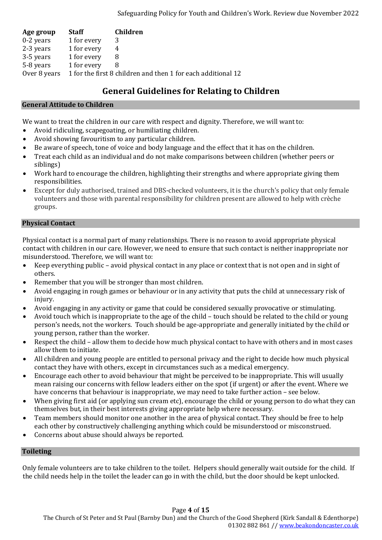| Age group    | <b>Staff</b> | <b>Children</b>                                              |
|--------------|--------------|--------------------------------------------------------------|
| $0-2$ years  | 1 for every  | 3                                                            |
| 2-3 years    | 1 for every  | 4                                                            |
| 3-5 years    | 1 for every  |                                                              |
| 5-8 years    | 1 for every  |                                                              |
| Over 8 years |              | 1 for the first 8 children and then 1 for each additional 12 |

# **General Guidelines for Relating to Children**

### **General Attitude to Children**

We want to treat the children in our care with respect and dignity. Therefore, we will want to:

- Avoid ridiculing, scapegoating, or humiliating children.
- Avoid showing favouritism to any particular children.
- Be aware of speech, tone of voice and body language and the effect that it has on the children.
- Treat each child as an individual and do not make comparisons between children (whether peers or siblings)
- Work hard to encourage the children, highlighting their strengths and where appropriate giving them responsibilities.
- Except for duly authorised, trained and DBS-checked volunteers, it is the church's policy that only female volunteers and those with parental responsibility for children present are allowed to help with crèche groups.

# **Physical Contact**

Physical contact is a normal part of many relationships. There is no reason to avoid appropriate physical contact with children in our care. However, we need to ensure that such contact is neither inappropriate nor misunderstood. Therefore, we will want to:

- Keep everything public avoid physical contact in any place or context that is not open and in sight of others.
- Remember that you will be stronger than most children.
- Avoid engaging in rough games or behaviour or in any activity that puts the child at unnecessary risk of injury.
- Avoid engaging in any activity or game that could be considered sexually provocative or stimulating.
- Avoid touch which is inappropriate to the age of the child touch should be related to the child or young person's needs, not the workers. Touch should be age-appropriate and generally initiated by the child or young person, rather than the worker.
- Respect the child allow them to decide how much physical contact to have with others and in most cases allow them to initiate.
- All children and young people are entitled to personal privacy and the right to decide how much physical contact they have with others, except in circumstances such as a medical emergency.
- Encourage each other to avoid behaviour that might be perceived to be inappropriate. This will usually mean raising our concerns with fellow leaders either on the spot (if urgent) or after the event. Where we have concerns that behaviour is inappropriate, we may need to take further action – see below.
- When giving first aid (or applying sun cream etc), encourage the child or young person to do what they can themselves but, in their best interests giving appropriate help where necessary.
- Team members should monitor one another in the area of physical contact. They should be free to help each other by constructively challenging anything which could be misunderstood or misconstrued.
- Concerns about abuse should always be reported.

# **Toileting**

Only female volunteers are to take children to the toilet. Helpers should generally wait outside for the child. If the child needs help in the toilet the leader can go in with the child, but the door should be kept unlocked.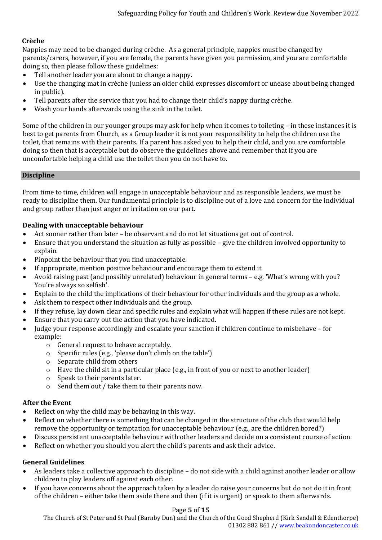# **Crèche**

Nappies may need to be changed during crèche. As a general principle, nappies must be changed by parents/carers, however, if you are female, the parents have given you permission, and you are comfortable doing so, then please follow these guidelines:

- Tell another leader you are about to change a nappy.
- Use the changing mat in crèche (unless an older child expresses discomfort or unease about being changed in public).
- Tell parents after the service that you had to change their child's nappy during crèche.
- Wash your hands afterwards using the sink in the toilet.

Some of the children in our younger groups may ask for help when it comes to toileting – in these instances it is best to get parents from Church, as a Group leader it is not your responsibility to help the children use the toilet, that remains with their parents. If a parent has asked you to help their child, and you are comfortable doing so then that is acceptable but do observe the guidelines above and remember that if you are uncomfortable helping a child use the toilet then you do not have to.

#### **Discipline**

From time to time, children will engage in unacceptable behaviour and as responsible leaders, we must be ready to discipline them. Our fundamental principle is to discipline out of a love and concern for the individual and group rather than just anger or irritation on our part.

#### **Dealing with unacceptable behaviour**

- Act sooner rather than later be observant and do not let situations get out of control.
- Ensure that you understand the situation as fully as possible give the children involved opportunity to explain.
- Pinpoint the behaviour that you find unacceptable.
- If appropriate, mention positive behaviour and encourage them to extend it.
- Avoid raising past (and possibly unrelated) behaviour in general terms e.g. 'What's wrong with you? You're always so selfish'.
- Explain to the child the implications of their behaviour for other individuals and the group as a whole.
- Ask them to respect other individuals and the group.
- If they refuse, lay down clear and specific rules and explain what will happen if these rules are not kept.
- Ensure that you carry out the action that you have indicated.
- Judge your response accordingly and escalate your sanction if children continue to misbehave for example:
	- o General request to behave acceptably.
	- o Specific rules (e.g., 'please don't climb on the table')
	- o Separate child from others
	- o Have the child sit in a particular place (e.g., in front of you or next to another leader)
	- o Speak to their parents later.
	- o Send them out / take them to their parents now.

#### **After the Event**

- Reflect on why the child may be behaving in this way.
- Reflect on whether there is something that can be changed in the structure of the club that would help remove the opportunity or temptation for unacceptable behaviour (e.g., are the children bored?)
- Discuss persistent unacceptable behaviour with other leaders and decide on a consistent course of action.
- Reflect on whether you should you alert the child's parents and ask their advice.

#### **General Guidelines**

- As leaders take a collective approach to discipline do not side with a child against another leader or allow children to play leaders off against each other.
- If you have concerns about the approach taken by a leader do raise your concerns but do not do it in front of the children – either take them aside there and then (if it is urgent) or speak to them afterwards.

#### Page **5** of **15**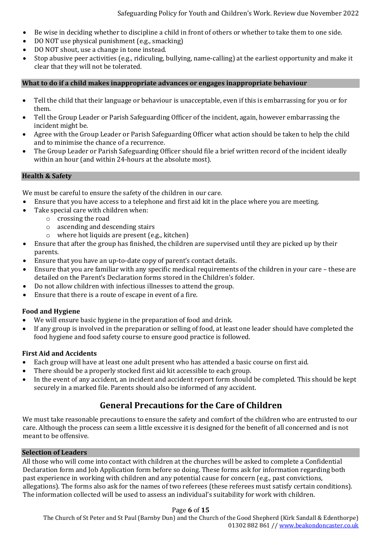- Be wise in deciding whether to discipline a child in front of others or whether to take them to one side.
- DO NOT use physical punishment (e.g., smacking)
- DO NOT shout, use a change in tone instead.
- Stop abusive peer activities (e.g., ridiculing, bullying, name-calling) at the earliest opportunity and make it clear that they will not be tolerated.

### **What to do if a child makes inappropriate advances or engages inappropriate behaviour**

- Tell the child that their language or behaviour is unacceptable, even if this is embarrassing for you or for them.
- Tell the Group Leader or Parish Safeguarding Officer of the incident, again, however embarrassing the incident might be.
- Agree with the Group Leader or Parish Safeguarding Officer what action should be taken to help the child and to minimise the chance of a recurrence.
- The Group Leader or Parish Safeguarding Officer should file a brief written record of the incident ideally within an hour (and within 24-hours at the absolute most).

### **Health & Safety**

We must be careful to ensure the safety of the children in our care.

- Ensure that you have access to a telephone and first aid kit in the place where you are meeting.
- Take special care with children when:
	- o crossing the road
	- o ascending and descending stairs
	- o where hot liquids are present (e.g., kitchen)
- Ensure that after the group has finished, the children are supervised until they are picked up by their parents.
- Ensure that you have an up-to-date copy of parent's contact details.
- Ensure that you are familiar with any specific medical requirements of the children in your care these are detailed on the Parent's Declaration forms stored in the Children's folder.
- Do not allow children with infectious illnesses to attend the group.
- Ensure that there is a route of escape in event of a fire.

# **Food and Hygiene**

- We will ensure basic hygiene in the preparation of food and drink.
- If any group is involved in the preparation or selling of food, at least one leader should have completed the food hygiene and food safety course to ensure good practice is followed.

# **First Aid and Accidents**

- Each group will have at least one adult present who has attended a basic course on first aid.
- There should be a properly stocked first aid kit accessible to each group.
- In the event of any accident, an incident and accident report form should be completed. This should be kept securely in a marked file. Parents should also be informed of any accident.

# **General Precautions for the Care of Children**

We must take reasonable precautions to ensure the safety and comfort of the children who are entrusted to our care. Although the process can seem a little excessive it is designed for the benefit of all concerned and is not meant to be offensive.

### **Selection of Leaders**

All those who will come into contact with children at the churches will be asked to complete a Confidential Declaration form and Job Application form before so doing. These forms ask for information regarding both past experience in working with children and any potential cause for concern (e.g., past convictions, allegations). The forms also ask for the names of two referees (these referees must satisfy certain conditions). The information collected will be used to assess an individual's suitability for work with children.

# Page **6** of **15**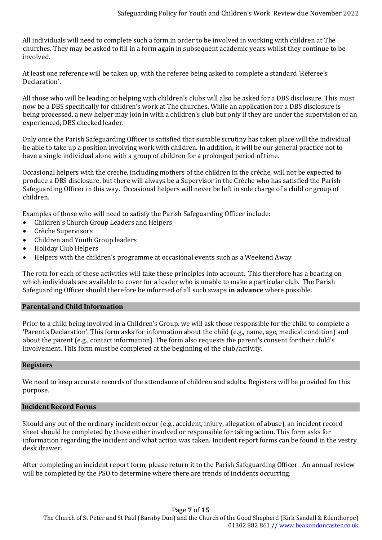All individuals will need to complete such a form in order to be involved in working with children at The churches. They may be asked to fill in a form again in subsequent academic years whilst they continue to be involved.

At least one reference will be taken up, with the referee being asked to complete a standard 'Referee's Declaration'.

All those who will be leading or helping with children's clubs will also be asked for a DBS disclosure. This must now be a DBS specifically for children's work at The churches. While an application for a DBS disclosure is being processed, a new helper may join in with a children's club but only if they are under the supervision of an experienced, DBS checked leader.

Only once the Parish Safeguarding Officer is satisfied that suitable scrutiny has taken place will the individual be able to take up a position involving work with children. In addition, it will be our general practice not to have a single individual alone with a group of children for a prolonged period of time.

Occasional helpers with the crèche, including mothers of the children in the crèche, will not be expected to produce a DBS disclosure, but there will always be a Supervisor in the Crèche who has satisfied the Parish Safeguarding Officer in this way. Occasional helpers will never be left in sole charge of a child or group of children.

Examples of those who will need to satisfy the Parish Safeguarding Officer include:

- Children's Church Group Leaders and Helpers
- Crèche Supervisors
- Children and Youth Group leaders
- Holiday Club Helpers
- Helpers with the children's programme at occasional events such as a Weekend Away

The rota for each of these activities will take these principles into account. This therefore has a bearing on which individuals are available to cover for a leader who is unable to make a particular club. The Parish Safeguarding Officer should therefore be informed of all such swaps **in advance** where possible.

#### **Parental and Child Information**

Prior to a child being involved in a Children's Group, we will ask those responsible for the child to complete a 'Parent's Declaration'. This form asks for information about the child (e.g., name, age, medical condition) and about the parent (e.g., contact information). The form also requests the parent's consent for their child's involvement. This form must be completed at the beginning of the club/activity.

#### **Registers**

We need to keep accurate records of the attendance of children and adults. Registers will be provided for this purpose.

#### **Incident Record Forms**

Should any out of the ordinary incident occur (e.g., accident, injury, allegation of abuse), an incident record sheet should be completed by those either involved or responsible for taking action. This form asks for information regarding the incident and what action was taken. Incident report forms can be found in the vestry desk drawer.

After completing an incident report form, please return it to the Parish Safeguarding Officer. An annual review will be completed by the PSO to determine where there are trends of incidents occurring.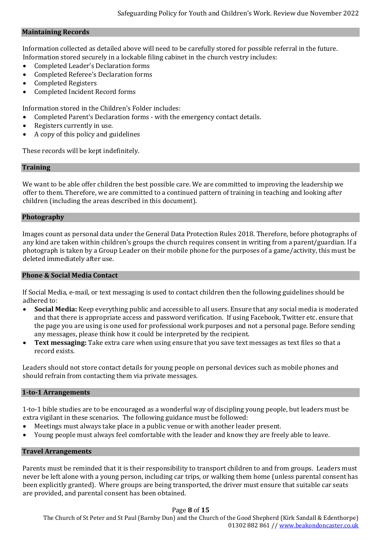#### **Maintaining Records**

Information collected as detailed above will need to be carefully stored for possible referral in the future. Information stored securely in a lockable filing cabinet in the church vestry includes:

- Completed Leader's Declaration forms
- Completed Referee's Declaration forms
- Completed Registers
- Completed Incident Record forms

Information stored in the Children's Folder includes:

- Completed Parent's Declaration forms with the emergency contact details.
- Registers currently in use.
- A copy of this policy and guidelines

These records will be kept indefinitely.

#### **Training**

We want to be able offer children the best possible care. We are committed to improving the leadership we offer to them. Therefore, we are committed to a continued pattern of training in teaching and looking after children (including the areas described in this document).

#### **Photography**

Images count as personal data under the General Data Protection Rules 2018. Therefore, before photographs of any kind are taken within children's groups the church requires consent in writing from a parent/guardian. If a photograph is taken by a Group Leader on their mobile phone for the purposes of a game/activity, this must be deleted immediately after use.

#### **Phone & Social Media Contact**

If Social Media, e-mail, or text messaging is used to contact children then the following guidelines should be adhered to:

- **Social Media:** Keep everything public and accessible to all users. Ensure that any social media is moderated and that there is appropriate access and password verification. If using Facebook, Twitter etc. ensure that the page you are using is one used for professional work purposes and not a personal page. Before sending any messages, please think how it could be interpreted by the recipient.
- **Text messaging:** Take extra care when using ensure that you save text messages as text files so that a record exists.

Leaders should not store contact details for young people on personal devices such as mobile phones and should refrain from contacting them via private messages.

#### **1-to-1 Arrangements**

1-to-1 bible studies are to be encouraged as a wonderful way of discipling young people, but leaders must be extra vigilant in these scenarios. The following guidance must be followed:

- Meetings must always take place in a public venue or with another leader present.
- Young people must always feel comfortable with the leader and know they are freely able to leave.

#### **Travel Arrangements**

Parents must be reminded that it is their responsibility to transport children to and from groups. Leaders must never be left alone with a young person, including car trips, or walking them home (unless parental consent has been explicitly granted). Where groups are being transported, the driver must ensure that suitable car seats are provided, and parental consent has been obtained.

#### Page **8** of **15**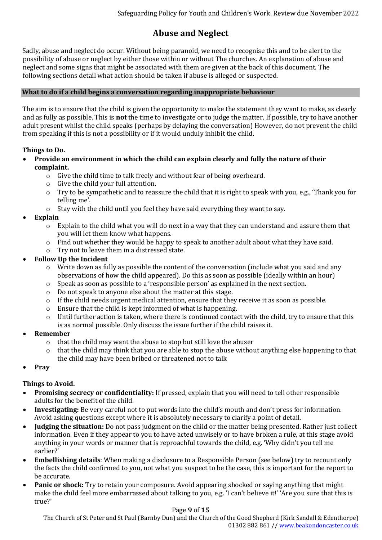# **Abuse and Neglect**

Sadly, abuse and neglect do occur. Without being paranoid, we need to recognise this and to be alert to the possibility of abuse or neglect by either those within or without The churches. An explanation of abuse and neglect and some signs that might be associated with them are given at the back of this document. The following sections detail what action should be taken if abuse is alleged or suspected.

### **What to do if a child begins a conversation regarding inappropriate behaviour**

The aim is to ensure that the child is given the opportunity to make the statement they want to make, as clearly and as fully as possible. This is **not** the time to investigate or to judge the matter. If possible, try to have another adult present whilst the child speaks (perhaps by delaying the conversation) However, do not prevent the child from speaking if this is not a possibility or if it would unduly inhibit the child.

# **Things to Do.**

- **Provide an environment in which the child can explain clearly and fully the nature of their complaint.**
	- o Give the child time to talk freely and without fear of being overheard.
	- o Give the child your full attention.
	- o Try to be sympathetic and to reassure the child that it is right to speak with you, e.g., 'Thank you for telling me'.
	- o Stay with the child until you feel they have said everything they want to say.
- **Explain**
	- $\circ$  Explain to the child what you will do next in a way that they can understand and assure them that you will let them know what happens.
	- o Find out whether they would be happy to speak to another adult about what they have said.
	- o Try not to leave them in a distressed state.
- **Follow Up the Incident**
	- o Write down as fully as possible the content of the conversation (include what you said and any observations of how the child appeared). Do this as soon as possible (ideally within an hour)
	- o Speak as soon as possible to a 'responsible person' as explained in the next section.
	- o Do not speak to anyone else about the matter at this stage.
	- $\circ$  If the child needs urgent medical attention, ensure that they receive it as soon as possible.
	- o Ensure that the child is kept informed of what is happening.
	- $\circ$  Until further action is taken, where there is continued contact with the child, try to ensure that this is as normal possible. Only discuss the issue further if the child raises it.
- **Remember**
	- o that the child may want the abuse to stop but still love the abuser
	- o that the child may think that you are able to stop the abuse without anything else happening to that the child may have been bribed or threatened not to talk
- **Pray**

# **Things to Avoid.**

- **Promising secrecy or confidentiality:** If pressed, explain that you will need to tell other responsible adults for the benefit of the child.
- **Investigating:** Be very careful not to put words into the child's mouth and don't press for information. Avoid asking questions except where it is absolutely necessary to clarify a point of detail.
- **Judging the situation:** Do not pass judgment on the child or the matter being presented. Rather just collect information. Even if they appear to you to have acted unwisely or to have broken a rule, at this stage avoid anything in your words or manner that is reproachful towards the child, e.g. 'Why didn't you tell me earlier?'
- **Embellishing details**: When making a disclosure to a Responsible Person (see below) try to recount only the facts the child confirmed to you, not what you suspect to be the case, this is important for the report to be accurate.
- **Panic or shock:** Try to retain your composure. Avoid appearing shocked or saying anything that might make the child feel more embarrassed about talking to you, e.g. 'I can't believe it!' 'Are you sure that this is true?'

#### Page **9** of **15**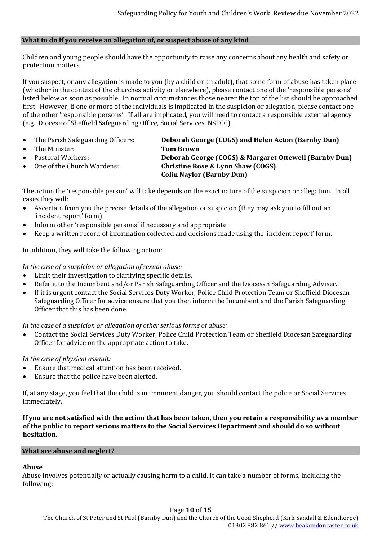#### **What to do if you receive an allegation of, or suspect abuse of any kind**

Children and young people should have the opportunity to raise any concerns about any health and safety or protection matters.

If you suspect, or any allegation is made to you (by a child or an adult), that some form of abuse has taken place (whether in the context of the churches activity or elsewhere), please contact one of the 'responsible persons' listed below as soon as possible. In normal circumstances those nearer the top of the list should be approached first. However, if one or more of the individuals is implicated in the suspicion or allegation, please contact one of the other 'responsible persons'. If all are implicated, you will need to contact a responsible external agency (e.g., Diocese of Sheffield Safeguarding Office, Social Services, NSPCC).

- The Parish Safeguarding Officers: **Deborah George (COGS) and Helen Acton (Barnby Dun)**
- The Minister: **Tom Brown**
- 
- 

• Pastoral Workers: **Deborah George (COGS) & Margaret Ottewell (Barnby Dun)** • One of the Church Wardens: **Christine Rose & Lynn Shaw (COGS) Colin Naylor (Barnby Dun)**

The action the 'responsible person' will take depends on the exact nature of the suspicion or allegation. In all cases they will:

- Ascertain from you the precise details of the allegation or suspicion (they may ask you to fill out an 'incident report' form)
- Inform other 'responsible persons' if necessary and appropriate.
- Keep a written record of information collected and decisions made using the 'incident report' form.

In addition, they will take the following action:

#### *In the case of a suspicion or allegation of sexual abuse:*

- Limit their investigation to clarifying specific details.
- Refer it to the Incumbent and/or Parish Safeguarding Officer and the Diocesan Safeguarding Adviser.
- If it is urgent contact the Social Services Duty Worker, Police Child Protection Team or Sheffield Diocesan Safeguarding Officer for advice ensure that you then inform the Incumbent and the Parish Safeguarding Officer that this has been done.

*In the case of a suspicion or allegation of other serious forms of abuse:*

• Contact the Social Services Duty Worker, Police Child Protection Team or Sheffield Diocesan Safeguarding Officer for advice on the appropriate action to take.

*In the case of physical assault:*

- Ensure that medical attention has been received.
- Ensure that the police have been alerted.

If, at any stage, you feel that the child is in imminent danger, you should contact the police or Social Services immediately.

**If you are not satisfied with the action that has been taken, then you retain a responsibility as a member of the public to report serious matters to the Social Services Department and should do so without hesitation.**

#### **What are abuse and neglect?**

# **Abuse**

Abuse involves potentially or actually causing harm to a child. It can take a number of forms, including the following: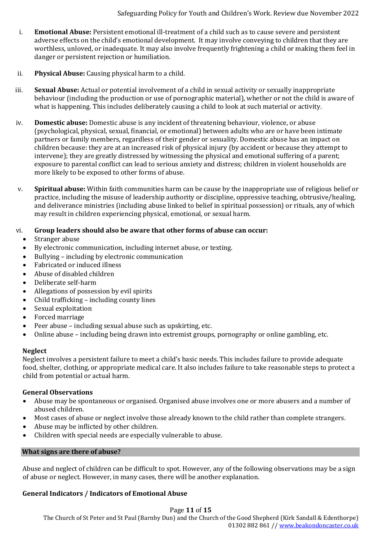- i. **Emotional Abuse:** Persistent emotional ill-treatment of a child such as to cause severe and persistent adverse effects on the child's emotional development. It may involve conveying to children that they are worthless, unloved, or inadequate. It may also involve frequently frightening a child or making them feel in danger or persistent rejection or humiliation.
- ii. **Physical Abuse:** Causing physical harm to a child.
- iii. **Sexual Abuse:** Actual or potential involvement of a child in sexual activity or sexually inappropriate behaviour (including the production or use of pornographic material), whether or not the child is aware of what is happening. This includes deliberately causing a child to look at such material or activity.
- iv. **Domestic abuse:** Domestic abuse is any incident of threatening behaviour, violence, or abuse (psychological, physical, sexual, financial, or emotional) between adults who are or have been intimate partners or family members, regardless of their gender or sexuality. Domestic abuse has an impact on children because: they are at an increased risk of physical injury (by accident or because they attempt to intervene); they are greatly distressed by witnessing the physical and emotional suffering of a parent; exposure to parental conflict can lead to serious anxiety and distress; children in violent households are more likely to be exposed to other forms of abuse.
- v. **Spiritual abuse:** Within faith communities harm can be cause by the inappropriate use of religious belief or practice, including the misuse of leadership authority or discipline, oppressive teaching, obtrusive/healing, and deliverance ministries (including abuse linked to belief in spiritual possession) or rituals, any of which may result in children experiencing physical, emotional, or sexual harm.

#### vi. **Group leaders should also be aware that other forms of abuse can occur:**

- Stranger abuse
- By electronic communication, including internet abuse, or texting.
- Bullying including by electronic communication
- Fabricated or induced illness
- Abuse of disabled children
- Deliberate self-harm
- Allegations of possession by evil spirits
- Child trafficking including county lines
- Sexual exploitation
- Forced marriage
- Peer abuse including sexual abuse such as upskirting, etc.
- Online abuse including being drawn into extremist groups, pornography or online gambling, etc.

#### **Neglect**

Neglect involves a persistent failure to meet a child's basic needs. This includes failure to provide adequate food, shelter, clothing, or appropriate medical care. It also includes failure to take reasonable steps to protect a child from potential or actual harm.

#### **General Observations**

- Abuse may be spontaneous or organised. Organised abuse involves one or more abusers and a number of abused children.
- Most cases of abuse or neglect involve those already known to the child rather than complete strangers.
- Abuse may be inflicted by other children.
- Children with special needs are especially vulnerable to abuse.

#### **What signs are there of abuse?**

Abuse and neglect of children can be difficult to spot. However, any of the following observations may be a sign of abuse or neglect. However, in many cases, there will be another explanation.

#### **General Indicators / Indicators of Emotional Abuse**

#### Page **11** of **15**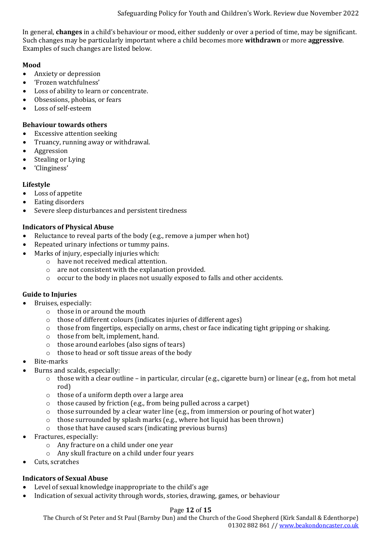In general, **changes** in a child's behaviour or mood, either suddenly or over a period of time, may be significant. Such changes may be particularly important where a child becomes more **withdrawn** or more **aggressive**. Examples of such changes are listed below.

### **Mood**

- Anxiety or depression
- 'Frozen watchfulness'
- Loss of ability to learn or concentrate.
- Obsessions, phobias, or fears
- Loss of self-esteem

#### **Behaviour towards others**

- Excessive attention seeking
- Truancy, running away or withdrawal.
- **Aggression**
- Stealing or Lying
- 'Clinginess'

### **Lifestyle**

- Loss of appetite
- Eating disorders
- Severe sleep disturbances and persistent tiredness

### **Indicators of Physical Abuse**

- Reluctance to reveal parts of the body (e.g., remove a jumper when hot)
- Repeated urinary infections or tummy pains.
- Marks of injury, especially injuries which:
	- o have not received medical attention.
	- o are not consistent with the explanation provided.
	- o occur to the body in places not usually exposed to falls and other accidents.

#### **Guide to Injuries**

- Bruises, especially:
	- o those in or around the mouth
	- o those of different colours (indicates injuries of different ages)
	- o those from fingertips, especially on arms, chest or face indicating tight gripping or shaking.
	- o those from belt, implement, hand.
	- o those around earlobes (also signs of tears)
	- o those to head or soft tissue areas of the body
- Bite-marks
- Burns and scalds, especially:
	- o those with a clear outline in particular, circular (e.g., cigarette burn) or linear (e.g., from hot metal rod)
	- o those of a uniform depth over a large area
	- o those caused by friction (e.g., from being pulled across a carpet)
	- $\circ$  those surrounded by a clear water line (e.g., from immersion or pouring of hot water)
	- o those surrounded by splash marks (e.g., where hot liquid has been thrown)
	- o those that have caused scars (indicating previous burns)
- Fractures, especially:
	- o Any fracture on a child under one year
	- o Any skull fracture on a child under four years
- Cuts, scratches

# **Indicators of Sexual Abuse**

- Level of sexual knowledge inappropriate to the child's age
- Indication of sexual activity through words, stories, drawing, games, or behaviour

#### Page **12** of **15**

The Church of St Peter and St Paul (Barnby Dun) and the Church of the Good Shepherd (Kirk Sandall & Edenthorpe)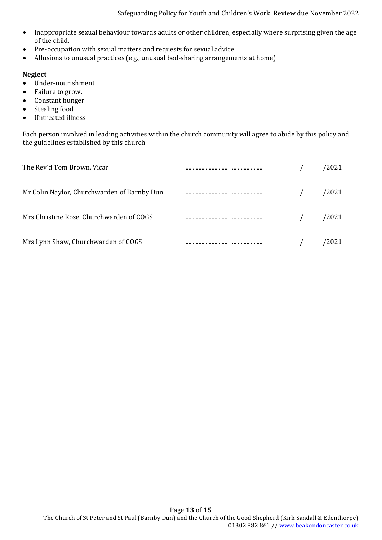Safeguarding Policy for Youth and Children's Work. Review due November 2022

- Inappropriate sexual behaviour towards adults or other children, especially where surprising given the age of the child.
- Pre-occupation with sexual matters and requests for sexual advice
- Allusions to unusual practices (e.g., unusual bed-sharing arrangements at home)

### **Neglect**

- Under-nourishment
- Failure to grow.
- Constant hunger
- Stealing food
- Untreated illness

Each person involved in leading activities within the church community will agree to abide by this policy and the guidelines established by this church.

| The Rev'd Tom Brown, Vicar                  |  | 2021' |
|---------------------------------------------|--|-------|
| Mr Colin Naylor, Churchwarden of Barnby Dun |  | 2021/ |
| Mrs Christine Rose, Churchwarden of COGS    |  | 2021' |
| Mrs Lynn Shaw, Churchwarden of COGS         |  | 2021  |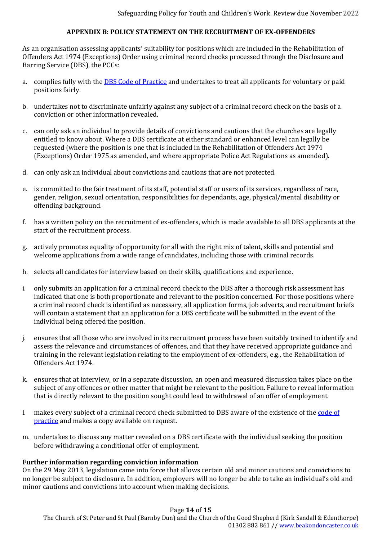# **APPENDIX B: POLICY STATEMENT ON THE RECRUITMENT OF EX-OFFENDERS**

As an organisation assessing applicants' suitability for positions which are included in the Rehabilitation of Offenders Act 1974 (Exceptions) Order using criminal record checks processed through the Disclosure and Barring Service (DBS), the PCCs:

- a. complies fully with the [DBS Code of Practice](https://www.gov.uk/government/publications/dbs-code-of-practice) and undertakes to treat all applicants for voluntary or paid positions fairly.
- b. undertakes not to discriminate unfairly against any subject of a criminal record check on the basis of a conviction or other information revealed.
- c. can only ask an individual to provide details of convictions and cautions that the churches are legally entitled to know about. Where a DBS certificate at either standard or enhanced level can legally be requested (where the position is one that is included in the Rehabilitation of Offenders Act 1974 (Exceptions) Order 1975 as amended, and where appropriate Police Act Regulations as amended).
- d. can only ask an individual about convictions and cautions that are not protected.
- e. is committed to the fair treatment of its staff, potential staff or users of its services, regardless of race, gender, religion, sexual orientation, responsibilities for dependants, age, physical/mental disability or offending background.
- f. has a written policy on the recruitment of ex-offenders, which is made available to all DBS applicants at the start of the recruitment process.
- g. actively promotes equality of opportunity for all with the right mix of talent, skills and potential and welcome applications from a wide range of candidates, including those with criminal records.
- h. selects all candidates for interview based on their skills, qualifications and experience.
- i. only submits an application for a criminal record check to the DBS after a thorough risk assessment has indicated that one is both proportionate and relevant to the position concerned. For those positions where a criminal record check is identified as necessary, all application forms, job adverts, and recruitment briefs will contain a statement that an application for a DBS certificate will be submitted in the event of the individual being offered the position.
- j. ensures that all those who are involved in its recruitment process have been suitably trained to identify and assess the relevance and circumstances of offences, and that they have received appropriate guidance and training in the relevant legislation relating to the employment of ex-offenders, e.g., the Rehabilitation of Offenders Act 1974.
- k. ensures that at interview, or in a separate discussion, an open and measured discussion takes place on the subject of any offences or other matter that might be relevant to the position. Failure to reveal information that is directly relevant to the position sought could lead to withdrawal of an offer of employment.
- l. makes every subject of a criminal record check submitted to DBS aware of the existence of the [code of](https://www.gov.uk/government/publications/dbs-code-of-practice)  [practice](https://www.gov.uk/government/publications/dbs-code-of-practice) and makes a copy available on request.
- m. undertakes to discuss any matter revealed on a DBS certificate with the individual seeking the position before withdrawing a conditional offer of employment.

#### **Further information regarding conviction information**

On the 29 May 2013, legislation came into force that allows certain old and minor cautions and convictions to no longer be subject to disclosure. In addition, employers will no longer be able to take an individual's old and minor cautions and convictions into account when making decisions.

#### Page **14** of **15**